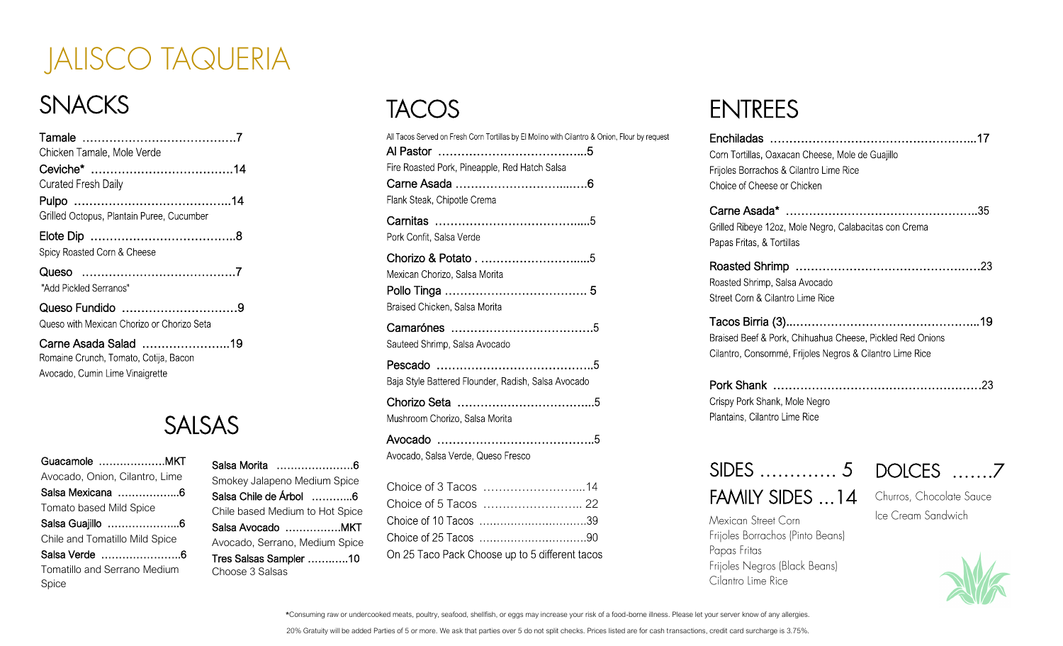## JALISCO TAQUERIA

## **SNACKS**

| Chicken Tamale, Mole Verde                                    |  |
|---------------------------------------------------------------|--|
|                                                               |  |
| <b>Curated Fresh Daily</b>                                    |  |
|                                                               |  |
| Grilled Octopus, Plantain Puree, Cucumber                     |  |
|                                                               |  |
| Spicy Roasted Corn & Cheese                                   |  |
|                                                               |  |
| "Add Pickled Serranos"                                        |  |
| Queso Fundido 9                                               |  |
| Queso with Mexican Chorizo or Chorizo Seta                    |  |
| Carne Asada Salad 19<br>Romaine Crunch, Tomato, Cotija, Bacon |  |
| Avocado, Cumin Lime Vinaigrette                               |  |

### SALSAS

Salsa Morita ………………….6 Smokey Jalapeno Medium Spice Salsa Chile de Árbol ………...6 Chile based Medium to Hot Spice Salsa Avocado …………….MKT Avocado, Serrano, Medium Spice Tres Salsas Sampler …….…..10

Choose 3 Salsas

| Guacamole MKT                         |
|---------------------------------------|
| Avocado, Onion, Cilantro, Lime        |
|                                       |
| Tomato based Mild Spice               |
| Salsa Guajillo 6                      |
| Chile and Tomatillo Mild Spice        |
|                                       |
| Tomatillo and Serrano Medium<br>Spice |

### **TACOS**

| All Tacos Served on Fresh Corn Tortillas by El Molino with Cilantro & Onion, Flour by request |
|-----------------------------------------------------------------------------------------------|
| Al Pastor ……………………………………5                                                                     |
| Fire Roasted Pork, Pineapple, Red Hatch Salsa                                                 |
|                                                                                               |
| Flank Steak, Chipotle Crema                                                                   |
|                                                                                               |
| Pork Confit, Salsa Verde                                                                      |
|                                                                                               |
| Mexican Chorizo, Salsa Morita                                                                 |
|                                                                                               |
| Braised Chicken, Salsa Morita                                                                 |
|                                                                                               |
| Sauteed Shrimp, Salsa Avocado                                                                 |
|                                                                                               |
| Baja Style Battered Flounder, Radish, Salsa Avocado                                           |
|                                                                                               |
| Mushroom Chorizo, Salsa Morita                                                                |
| Avocado ……………………………………5                                                                       |
| Avocado, Salsa Verde, Queso Fresco                                                            |
|                                                                                               |
| Choice of 3 Tacos 14                                                                          |
|                                                                                               |
|                                                                                               |
|                                                                                               |

On 25 Taco Pack Choose up to 5 different tacos

### ENTREES

| Corn Tortillas, Oaxacan Cheese, Mole de Guajillo<br>Frijoles Borrachos & Cilantro Lime Rice<br>Choice of Cheese or Chicken |
|----------------------------------------------------------------------------------------------------------------------------|
| Grilled Ribeye 12oz, Mole Negro, Calabacitas con Crema<br>Papas Fritas, & Tortillas                                        |
| Roasted Shrimp, Salsa Avocado<br>Street Corn & Cilantro Lime Rice                                                          |
| Braised Beef & Pork, Chihuahua Cheese, Pickled Red Onions<br>Cilantro, Consommé, Frijoles Negros & Cilantro Lime Rice      |
| Crispy Pork Shank, Mole Negro<br>Plantains, Cilantro Lime Rice                                                             |

#### SIDES …………. 5 DOLCES …….7

Mexican Street Corn

Cilantro Lime Rice

Papas Fritas

FAMILY SIDES ... 14

Frijoles Borrachos (Pinto Beans)

Frijoles Negros (Black Beans)

Churros, Chocolate Sauce Ice Cream Sandwich

Consuming raw or undercooked meats, poultry, seafood, shellfish, or eggs may increase your risk of a food-borne illness. Please let your server know of any allergies.

20% Gratuity will be added Parties of 5 or more. We ask that parties over 5 do not split checks. Prices listed are for cash transactions, credit card surcharge is 3.75%.